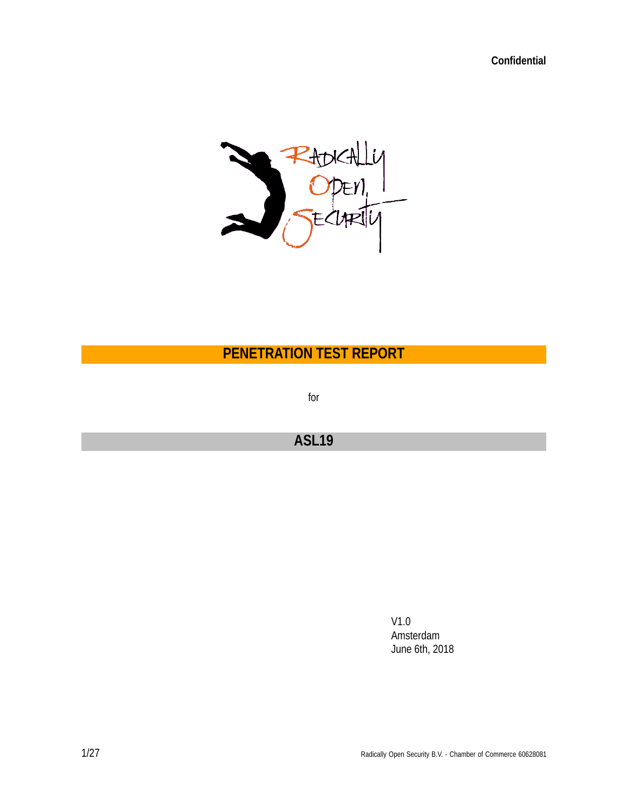**Confidential**



**PENETRATION TEST REPORT**

for

# **ASL19**

V1.0 Amsterdam June 6th, 2018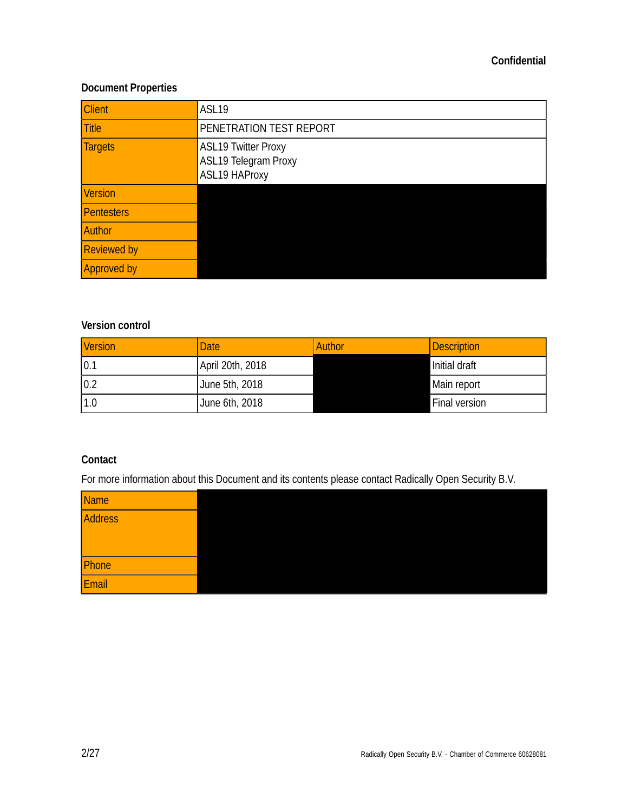## **Confidential**

## **Document Properties**

| <b>Client</b>      | ASL19                                                                      |  |
|--------------------|----------------------------------------------------------------------------|--|
| <b>Title</b>       | PENETRATION TEST REPORT                                                    |  |
| <b>Targets</b>     | <b>ASL19 Twitter Proxy</b><br>ASL19 Telegram Proxy<br><b>ASL19 HAProxy</b> |  |
| <b>Version</b>     |                                                                            |  |
| Pentesters         |                                                                            |  |
| Author             |                                                                            |  |
| <b>Reviewed by</b> |                                                                            |  |
| <b>Approved by</b> |                                                                            |  |

## **Version control**

| <b>Version</b> | <b>Date</b>      | Author | Description   |
|----------------|------------------|--------|---------------|
| 0.1            | April 20th, 2018 |        | Initial draft |
| 0.2            | June 5th, 2018   |        | Main report   |
| 1.0            | June 6th, 2018   |        | Final version |

## **Contact**

For more information about this Document and its contents please contact Radically Open Security B.V.

| Name    |  |
|---------|--|
| Address |  |
|         |  |
|         |  |
| Phone   |  |
| Email   |  |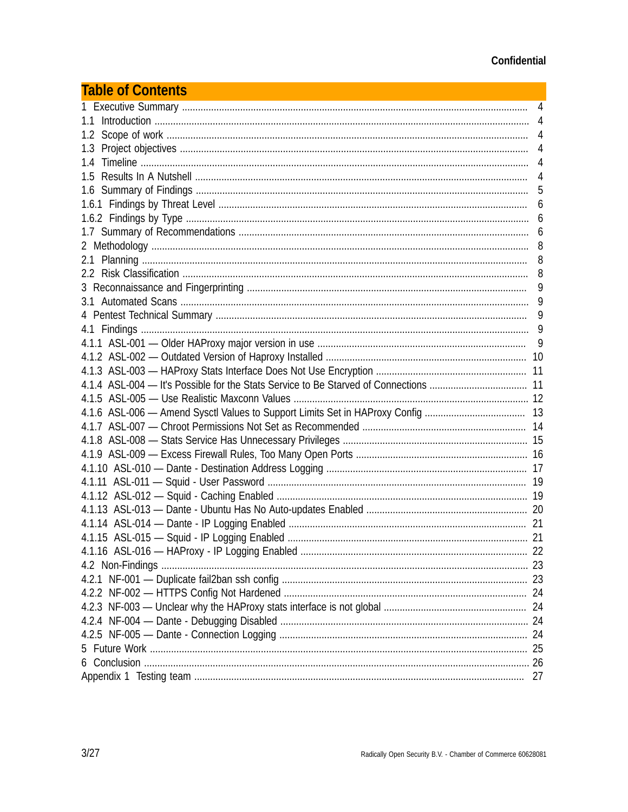| <b>Table of Contents</b> |   |
|--------------------------|---|
|                          | 4 |
|                          |   |
|                          |   |
|                          |   |
|                          |   |
| 1.5                      | 4 |
|                          | 5 |
|                          | 6 |
|                          |   |
|                          |   |
|                          |   |
|                          |   |
|                          |   |
|                          | 9 |
|                          |   |
|                          | 9 |
|                          |   |
|                          | 9 |
|                          |   |
|                          |   |
|                          |   |
|                          |   |
|                          |   |
|                          |   |
|                          |   |
|                          |   |
|                          |   |
|                          |   |
|                          |   |
|                          |   |
|                          |   |
|                          |   |
|                          |   |
|                          |   |
|                          |   |
|                          |   |
|                          |   |
|                          |   |
|                          |   |
|                          |   |
|                          |   |
|                          |   |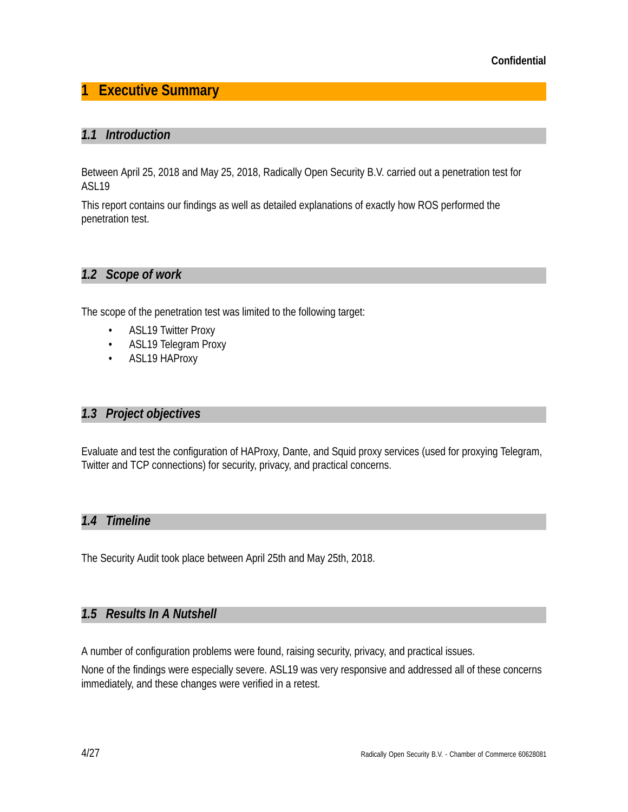# **1 Executive Summary**

## *1.1 Introduction*

Between April 25, 2018 and May 25, 2018, Radically Open Security B.V. carried out a penetration test for ASL19

This report contains our findings as well as detailed explanations of exactly how ROS performed the penetration test.

## *1.2 Scope of work*

The scope of the penetration test was limited to the following target:

- ASL19 Twitter Proxy
- ASL19 Telegram Proxy
- ASL19 HAProxy

## *1.3 Project objectives*

Evaluate and test the configuration of HAProxy, Dante, and Squid proxy services (used for proxying Telegram, Twitter and TCP connections) for security, privacy, and practical concerns.

## *1.4 Timeline*

The Security Audit took place between April 25th and May 25th, 2018.

## *1.5 Results In A Nutshell*

A number of configuration problems were found, raising security, privacy, and practical issues.

None of the findings were especially severe. ASL19 was very responsive and addressed all of these concerns immediately, and these changes were verified in a retest.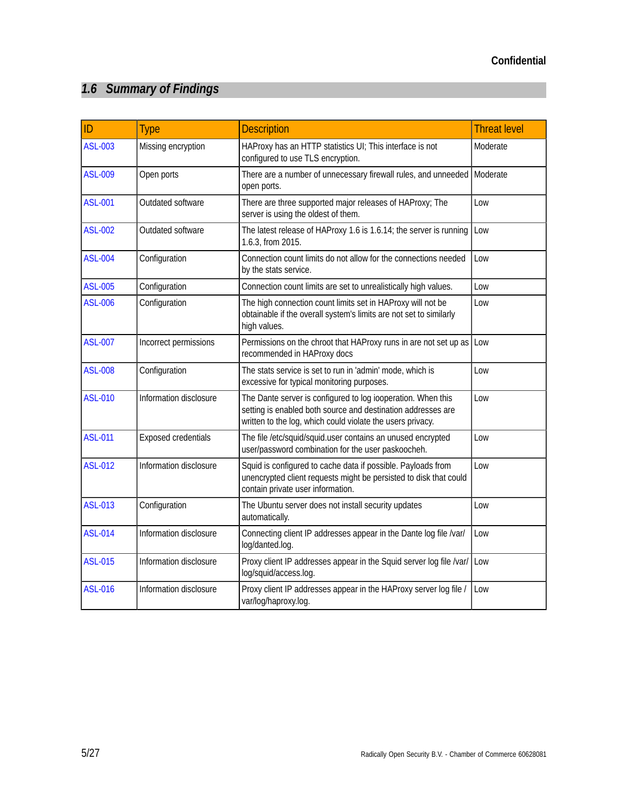# *1.6 Summary of Findings*

| ID             | <b>Type</b>                | <b>Description</b>                                                                                                                                                                         | <b>Threat level</b> |
|----------------|----------------------------|--------------------------------------------------------------------------------------------------------------------------------------------------------------------------------------------|---------------------|
| <b>ASL-003</b> | Missing encryption         | HAProxy has an HTTP statistics UI; This interface is not<br>configured to use TLS encryption.                                                                                              | Moderate            |
| <b>ASL-009</b> | Open ports                 | There are a number of unnecessary firewall rules, and unneeded<br>open ports.                                                                                                              | Moderate            |
| <b>ASL-001</b> | Outdated software          | There are three supported major releases of HAProxy; The<br>server is using the oldest of them.                                                                                            | Low                 |
| <b>ASL-002</b> | Outdated software          | The latest release of HAProxy 1.6 is 1.6.14; the server is running<br>1.6.3, from 2015.                                                                                                    | Low                 |
| <b>ASL-004</b> | Configuration              | Connection count limits do not allow for the connections needed<br>by the stats service.                                                                                                   | Low                 |
| <b>ASL-005</b> | Configuration              | Connection count limits are set to unrealistically high values.                                                                                                                            | Low                 |
| <b>ASL-006</b> | Configuration              | The high connection count limits set in HAProxy will not be<br>obtainable if the overall system's limits are not set to similarly<br>high values.                                          | Low                 |
| <b>ASL-007</b> | Incorrect permissions      | Permissions on the chroot that HAProxy runs in are not set up as Low<br>recommended in HAProxy docs                                                                                        |                     |
| <b>ASL-008</b> | Configuration              | The stats service is set to run in 'admin' mode, which is<br>excessive for typical monitoring purposes.                                                                                    | Low                 |
| <b>ASL-010</b> | Information disclosure     | The Dante server is configured to log iooperation. When this<br>setting is enabled both source and destination addresses are<br>written to the log, which could violate the users privacy. | Low                 |
| <b>ASL-011</b> | <b>Exposed credentials</b> | The file /etc/squid/squid.user contains an unused encrypted<br>user/password combination for the user paskoocheh.                                                                          | Low                 |
| <b>ASL-012</b> | Information disclosure     | Squid is configured to cache data if possible. Payloads from<br>unencrypted client requests might be persisted to disk that could<br>contain private user information.                     | Low                 |
| <b>ASL-013</b> | Configuration              | The Ubuntu server does not install security updates<br>automatically.                                                                                                                      | Low                 |
| <b>ASL-014</b> | Information disclosure     | Connecting client IP addresses appear in the Dante log file /var/<br>log/danted.log.                                                                                                       | Low                 |
| <b>ASL-015</b> | Information disclosure     | Proxy client IP addresses appear in the Squid server log file /var/<br>log/squid/access.log.                                                                                               | Low                 |
| <b>ASL-016</b> | Information disclosure     | Proxy client IP addresses appear in the HAProxy server log file /<br>var/log/haproxy.log.                                                                                                  | Low                 |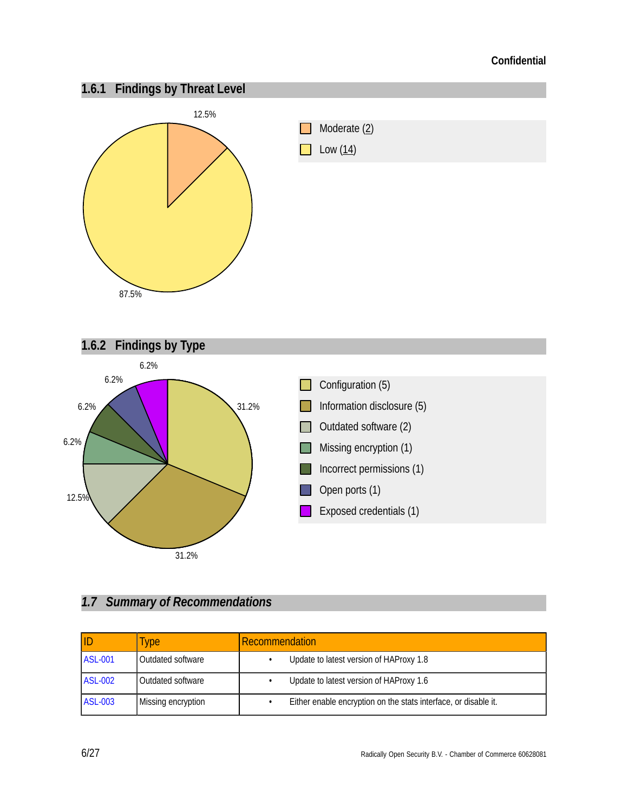

# *1.7 Summary of Recommendations*

|                | <b>Type</b>        | <b>Recommendation</b>                                           |
|----------------|--------------------|-----------------------------------------------------------------|
| <b>ASL-001</b> | Outdated software  | Update to latest version of HAProxy 1.8                         |
| <b>ASL-002</b> | Outdated software  | Update to latest version of HAProxy 1.6                         |
| <b>ASL-003</b> | Missing encryption | Either enable encryption on the stats interface, or disable it. |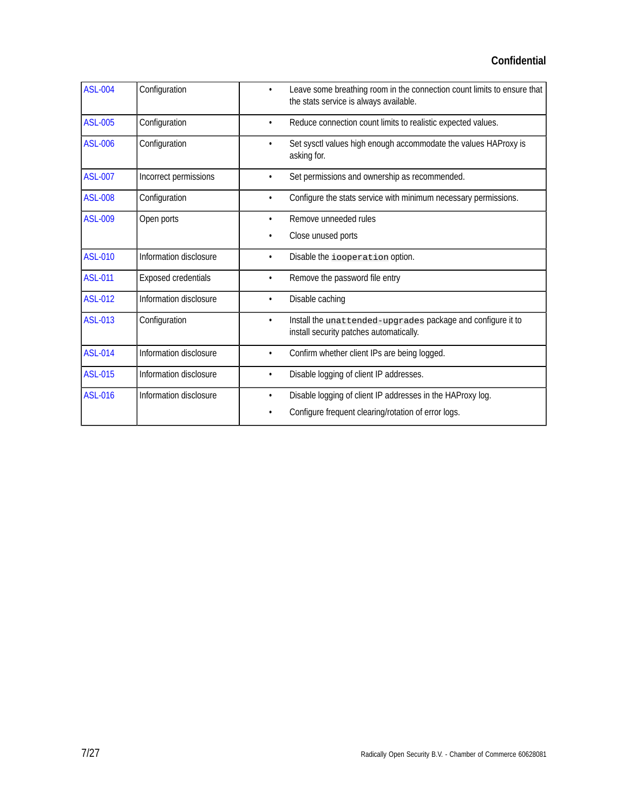| <b>ASL-004</b> | Configuration              | Leave some breathing room in the connection count limits to ensure that<br>$\bullet$<br>the stats service is always available. |
|----------------|----------------------------|--------------------------------------------------------------------------------------------------------------------------------|
| <b>ASL-005</b> | Configuration              | Reduce connection count limits to realistic expected values.<br>٠                                                              |
| <b>ASL-006</b> | Configuration              | Set sysctl values high enough accommodate the values HAProxy is<br>asking for.                                                 |
| <b>ASL-007</b> | Incorrect permissions      | Set permissions and ownership as recommended.                                                                                  |
| <b>ASL-008</b> | Configuration              | Configure the stats service with minimum necessary permissions.<br>$\bullet$                                                   |
| <b>ASL-009</b> | Open ports                 | Remove unneeded rules<br>$\bullet$                                                                                             |
|                |                            | Close unused ports                                                                                                             |
| <b>ASL-010</b> | Information disclosure     | Disable the iooperation option.<br>$\bullet$                                                                                   |
| <b>ASL-011</b> | <b>Exposed credentials</b> | Remove the password file entry<br>$\bullet$                                                                                    |
| <b>ASL-012</b> | Information disclosure     | Disable caching<br>$\bullet$                                                                                                   |
| <b>ASL-013</b> | Configuration              | Install the unat tended-upgrades package and configure it to<br>٠<br>install security patches automatically.                   |
| <b>ASL-014</b> | Information disclosure     | Confirm whether client IPs are being logged.<br>٠                                                                              |
| <b>ASL-015</b> | Information disclosure     | Disable logging of client IP addresses.<br>$\bullet$                                                                           |
| <b>ASL-016</b> | Information disclosure     | Disable logging of client IP addresses in the HAProxy log.<br>$\bullet$<br>Configure frequent clearing/rotation of error logs. |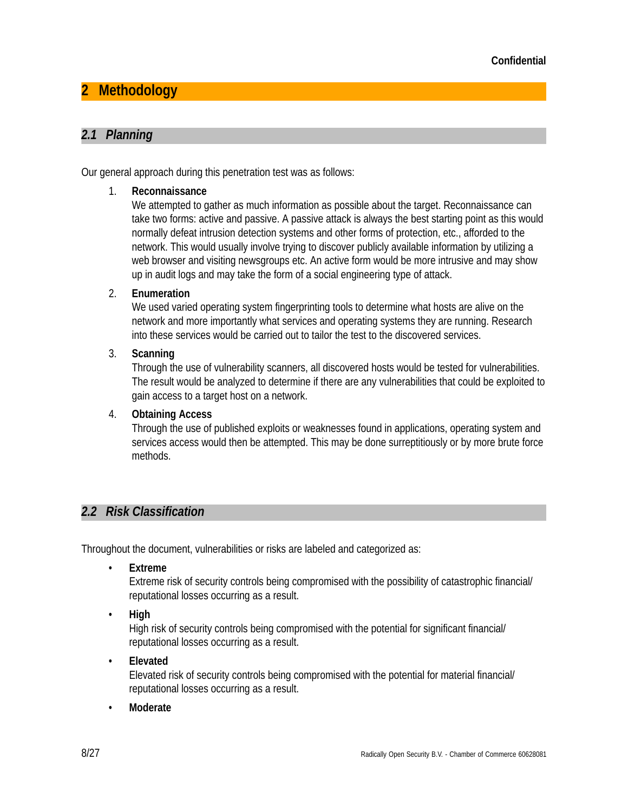# **2 Methodology**

## *2.1 Planning*

Our general approach during this penetration test was as follows:

## 1. **Reconnaissance**

We attempted to gather as much information as possible about the target. Reconnaissance can take two forms: active and passive. A passive attack is always the best starting point as this would normally defeat intrusion detection systems and other forms of protection, etc., afforded to the network. This would usually involve trying to discover publicly available information by utilizing a web browser and visiting newsgroups etc. An active form would be more intrusive and may show up in audit logs and may take the form of a social engineering type of attack.

## 2. **Enumeration**

We used varied operating system fingerprinting tools to determine what hosts are alive on the network and more importantly what services and operating systems they are running. Research into these services would be carried out to tailor the test to the discovered services.

## 3. **Scanning**

Through the use of vulnerability scanners, all discovered hosts would be tested for vulnerabilities. The result would be analyzed to determine if there are any vulnerabilities that could be exploited to gain access to a target host on a network.

## 4. **Obtaining Access**

Through the use of published exploits or weaknesses found in applications, operating system and services access would then be attempted. This may be done surreptitiously or by more brute force methods.

## *2.2 Risk Classification*

Throughout the document, vulnerabilities or risks are labeled and categorized as:

• **Extreme**

Extreme risk of security controls being compromised with the possibility of catastrophic financial/ reputational losses occurring as a result.

• **High**

High risk of security controls being compromised with the potential for significant financial/ reputational losses occurring as a result.

• **Elevated**

Elevated risk of security controls being compromised with the potential for material financial/ reputational losses occurring as a result.

• **Moderate**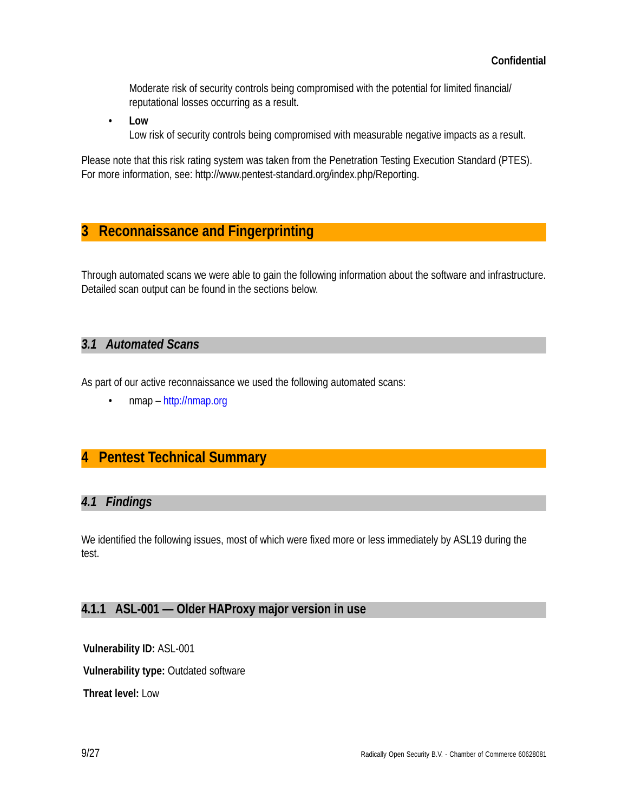Moderate risk of security controls being compromised with the potential for limited financial/ reputational losses occurring as a result.

• **Low** Low risk of security controls being compromised with measurable negative impacts as a result.

Please note that this risk rating system was taken from the Penetration Testing Execution Standard (PTES). For more information, see: http://www.pentest-standard.org/index.php/Reporting.

# **3 Reconnaissance and Fingerprinting**

Through automated scans we were able to gain the following information about the software and infrastructure. Detailed scan output can be found in the sections below.

## *3.1 Automated Scans*

As part of our active reconnaissance we used the following automated scans:

• nmap – http://nmap.org

# **4 Pentest Technical Summary**

## *4.1 Findings*

We identified the following issues, most of which were fixed more or less immediately by ASL19 during the test.

## **4.1.1 ASL-001 — Older HAProxy major version in use**

**Vulnerability ID:** ASL-001 **Vulnerability type:** Outdated software **Threat level:** Low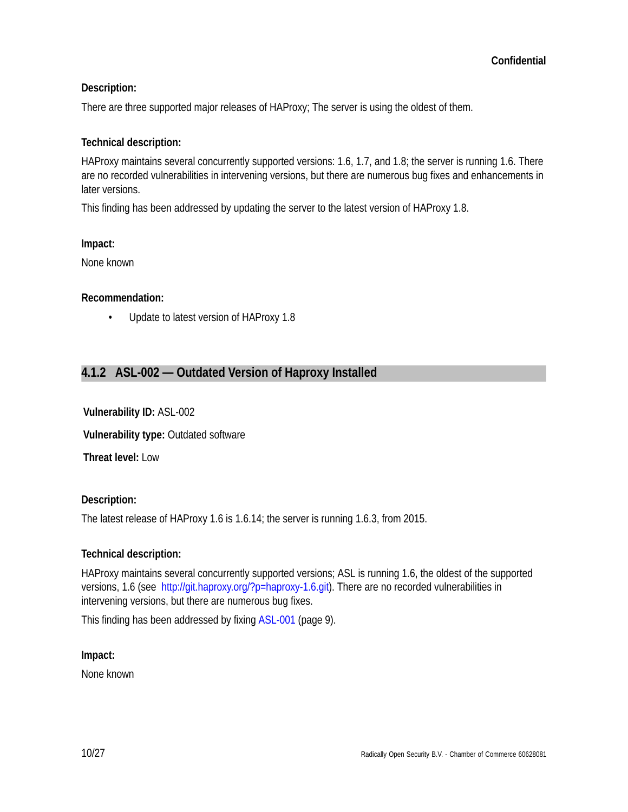## **Description:**

There are three supported major releases of HAProxy; The server is using the oldest of them.

## **Technical description:**

HAProxy maintains several concurrently supported versions: 1.6, 1.7, and 1.8; the server is running 1.6. There are no recorded vulnerabilities in intervening versions, but there are numerous bug fixes and enhancements in later versions.

This finding has been addressed by updating the server to the latest version of HAProxy 1.8.

### **Impact:**

None known

### **Recommendation:**

• Update to latest version of HAProxy 1.8

## **4.1.2 ASL-002 — Outdated Version of Haproxy Installed**

**Vulnerability ID:** ASL-002

**Vulnerability type:** Outdated software

**Threat level:** Low

### **Description:**

The latest release of HAProxy 1.6 is 1.6.14; the server is running 1.6.3, from 2015.

### **Technical description:**

HAProxy maintains several concurrently supported versions; ASL is running 1.6, the oldest of the supported versions, 1.6 (see http://git.haproxy.org/?p=haproxy-1.6.git). There are no recorded vulnerabilities in intervening versions, but there are numerous bug fixes.

This finding has been addressed by fixing ASL-001 (page 9).

### **Impact:**

None known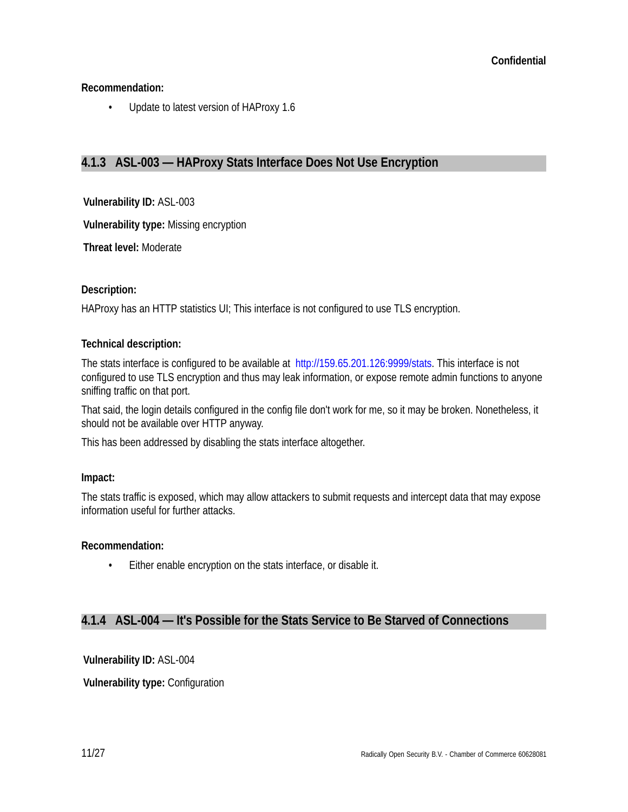## **Recommendation:**

• Update to latest version of HAProxy 1.6

## **4.1.3 ASL-003 — HAProxy Stats Interface Does Not Use Encryption**

**Vulnerability ID:** ASL-003

**Vulnerability type:** Missing encryption

**Threat level:** Moderate

#### **Description:**

HAProxy has an HTTP statistics UI; This interface is not configured to use TLS encryption.

#### **Technical description:**

The stats interface is configured to be available at http://159.65.201.126:9999/stats. This interface is not configured to use TLS encryption and thus may leak information, or expose remote admin functions to anyone sniffing traffic on that port.

That said, the login details configured in the config file don't work for me, so it may be broken. Nonetheless, it should not be available over HTTP anyway.

This has been addressed by disabling the stats interface altogether.

### **Impact:**

The stats traffic is exposed, which may allow attackers to submit requests and intercept data that may expose information useful for further attacks.

### **Recommendation:**

• Either enable encryption on the stats interface, or disable it.

## **4.1.4 ASL-004 — It's Possible for the Stats Service to Be Starved of Connections**

**Vulnerability ID:** ASL-004

**Vulnerability type:** Configuration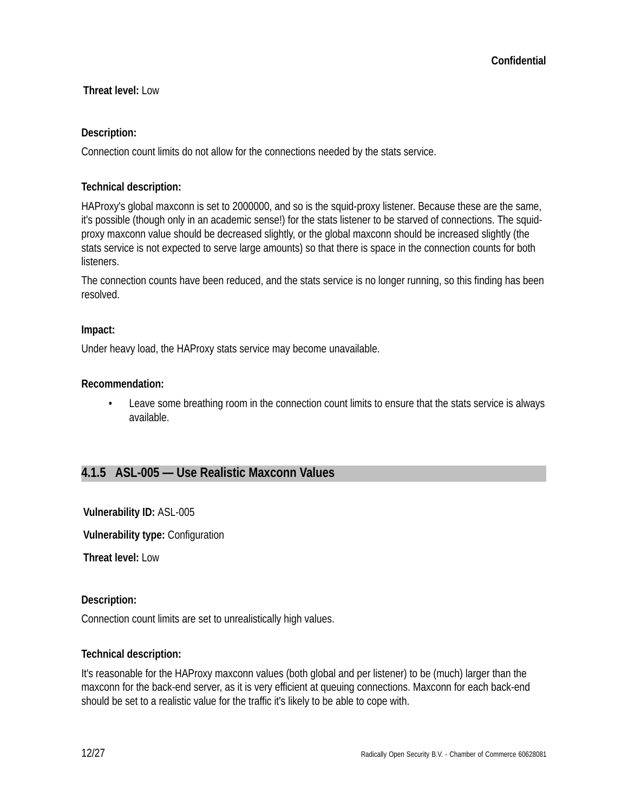## **Threat level:** Low

## **Description:**

Connection count limits do not allow for the connections needed by the stats service.

## **Technical description:**

HAProxy's global maxconn is set to 2000000, and so is the squid-proxy listener. Because these are the same, it's possible (though only in an academic sense!) for the stats listener to be starved of connections. The squidproxy maxconn value should be decreased slightly, or the global maxconn should be increased slightly (the stats service is not expected to serve large amounts) so that there is space in the connection counts for both listeners.

The connection counts have been reduced, and the stats service is no longer running, so this finding has been resolved.

### **Impact:**

Under heavy load, the HAProxy stats service may become unavailable.

### **Recommendation:**

• Leave some breathing room in the connection count limits to ensure that the stats service is always available.

## **4.1.5 ASL-005 — Use Realistic Maxconn Values**

**Vulnerability ID:** ASL-005

**Vulnerability type:** Configuration

**Threat level:** Low

### **Description:**

Connection count limits are set to unrealistically high values.

### **Technical description:**

It's reasonable for the HAProxy maxconn values (both global and per listener) to be (much) larger than the maxconn for the back-end server, as it is very efficient at queuing connections. Maxconn for each back-end should be set to a realistic value for the traffic it's likely to be able to cope with.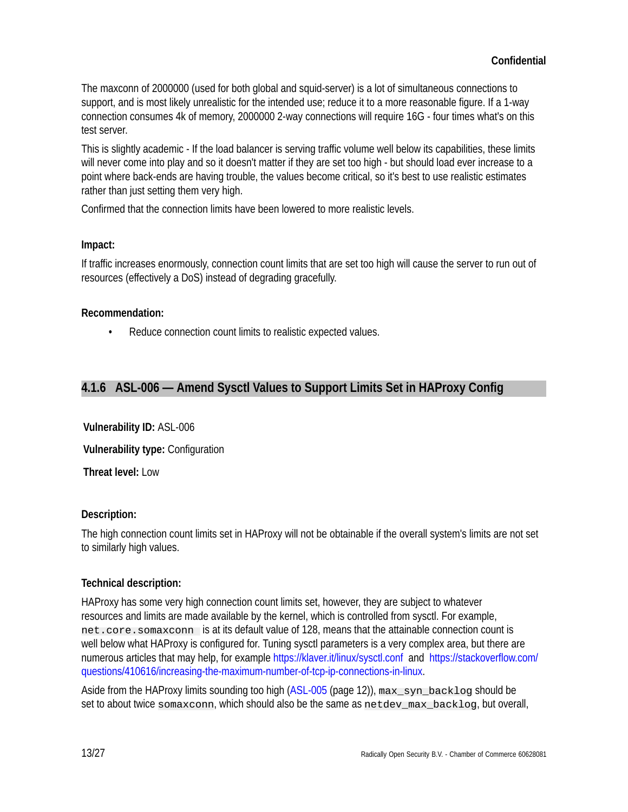The maxconn of 2000000 (used for both global and squid-server) is a lot of simultaneous connections to support, and is most likely unrealistic for the intended use; reduce it to a more reasonable figure. If a 1-way connection consumes 4k of memory, 2000000 2-way connections will require 16G - four times what's on this test server.

This is slightly academic - If the load balancer is serving traffic volume well below its capabilities, these limits will never come into play and so it doesn't matter if they are set too high - but should load ever increase to a point where back-ends are having trouble, the values become critical, so it's best to use realistic estimates rather than just setting them very high.

Confirmed that the connection limits have been lowered to more realistic levels.

## **Impact:**

If traffic increases enormously, connection count limits that are set too high will cause the server to run out of resources (effectively a DoS) instead of degrading gracefully.

## **Recommendation:**

• Reduce connection count limits to realistic expected values.

## **4.1.6 ASL-006 — Amend Sysctl Values to Support Limits Set in HAProxy Config**

**Vulnerability ID:** ASL-006 **Vulnerability type:** Configuration

**Threat level:** Low

## **Description:**

The high connection count limits set in HAProxy will not be obtainable if the overall system's limits are not set to similarly high values.

## **Technical description:**

HAProxy has some very high connection count limits set, however, they are subject to whatever resources and limits are made available by the kernel, which is controlled from sysctl. For example, net.core.somaxconn is at its default value of 128, means that the attainable connection count is well below what HAProxy is configured for. Tuning sysctl parameters is a very complex area, but there are numerous articles that may help, for example https://klaver.it/linux/sysctl.conf and https://stackoverflow.com/ questions/410616/increasing-the-maximum-number-of-tcp-ip-connections-in-linux.

Aside from the HAProxy limits sounding too high (ASL-005 (page 12)), max\_syn\_backlog should be set to about twice somaxconn, which should also be the same as netdev\_max\_backlog, but overall,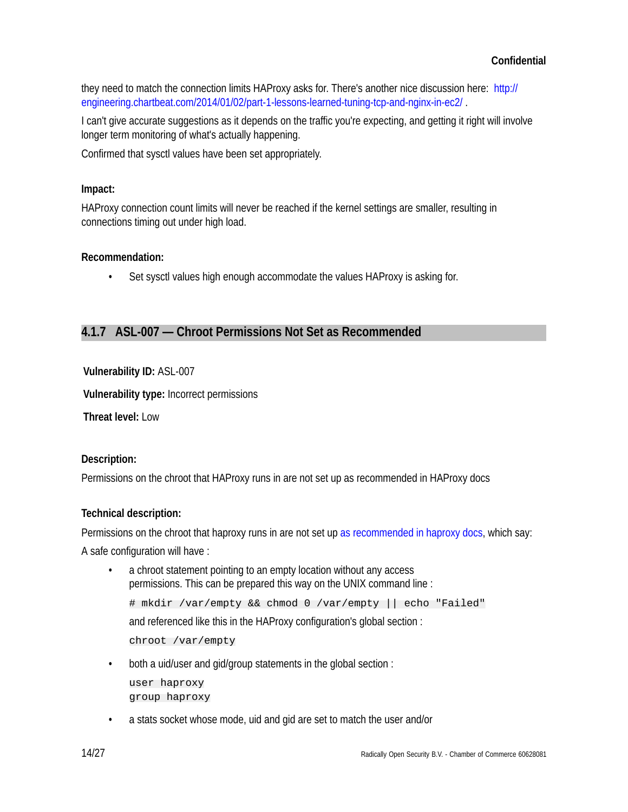they need to match the connection limits HAProxy asks for. There's another nice discussion here: http:// engineering.chartbeat.com/2014/01/02/part-1-lessons-learned-tuning-tcp-and-nginx-in-ec2/ .

I can't give accurate suggestions as it depends on the traffic you're expecting, and getting it right will involve longer term monitoring of what's actually happening.

Confirmed that sysctl values have been set appropriately.

## **Impact:**

HAProxy connection count limits will never be reached if the kernel settings are smaller, resulting in connections timing out under high load.

## **Recommendation:**

• Set sysctl values high enough accommodate the values HAProxy is asking for.

## **4.1.7 ASL-007 — Chroot Permissions Not Set as Recommended**

## **Vulnerability ID:** ASL-007

**Vulnerability type:** Incorrect permissions

**Threat level:** Low

### **Description:**

Permissions on the chroot that HAProxy runs in are not set up as recommended in HAProxy docs

## **Technical description:**

Permissions on the chroot that haproxy runs in are not set up as recommended in haproxy docs, which say:

A safe configuration will have :

- a chroot statement pointing to an empty location without any access permissions. This can be prepared this way on the UNIX command line : # mkdir /var/empty && chmod 0 /var/empty || echo "Failed" and referenced like this in the HAProxy configuration's global section : chroot /var/empty
- both a uid/user and gid/group statements in the global section : user haproxy group haproxy
- a stats socket whose mode, uid and gid are set to match the user and/or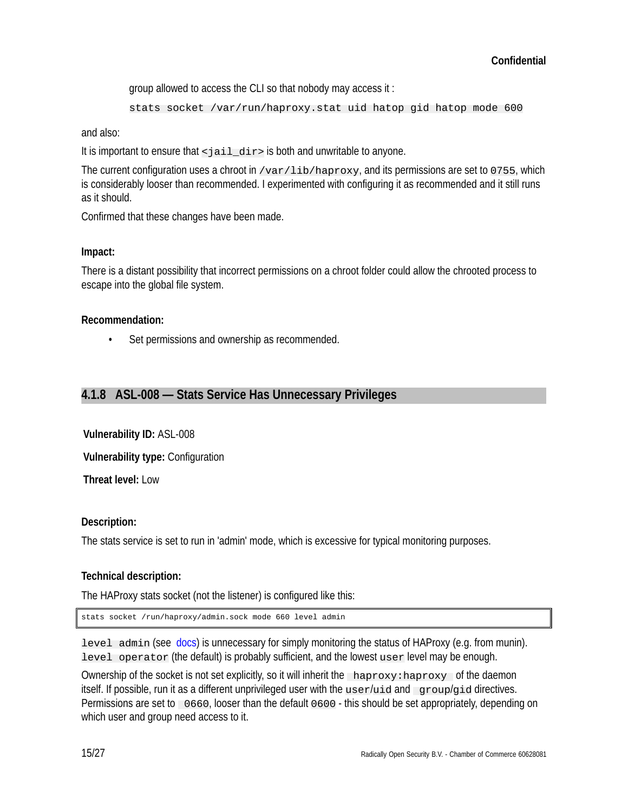group allowed to access the CLI so that nobody may access it :

```
stats socket /var/run/haproxy.stat uid hatop gid hatop mode 600
```
and also:

It is important to ensure that  $\leq j$  ail\_dir> is both and unwritable to anyone.

The current configuration uses a chroot in  $\sqrt{ar/1ib/haprox}$ , and its permissions are set to 0755, which is considerably looser than recommended. I experimented with configuring it as recommended and it still runs as it should.

Confirmed that these changes have been made.

## **Impact:**

There is a distant possibility that incorrect permissions on a chroot folder could allow the chrooted process to escape into the global file system.

## **Recommendation:**

Set permissions and ownership as recommended.

## **4.1.8 ASL-008 — Stats Service Has Unnecessary Privileges**

**Vulnerability ID:** ASL-008

**Vulnerability type:** Configuration

**Threat level:** Low

## **Description:**

The stats service is set to run in 'admin' mode, which is excessive for typical monitoring purposes.

## **Technical description:**

The HAProxy stats socket (not the listener) is configured like this:

stats socket /run/haproxy/admin.sock mode 660 level admin

level admin (see docs) is unnecessary for simply monitoring the status of HAProxy (e.g. from munin). level operator (the default) is probably sufficient, and the lowest user level may be enough.

Ownership of the socket is not set explicitly, so it will inherit the haproxy:haproxy of the daemon itself. If possible, run it as a different unprivileged user with the user/uid and group/gid directives. Permissions are set to 0660, looser than the default 0600 - this should be set appropriately, depending on which user and group need access to it.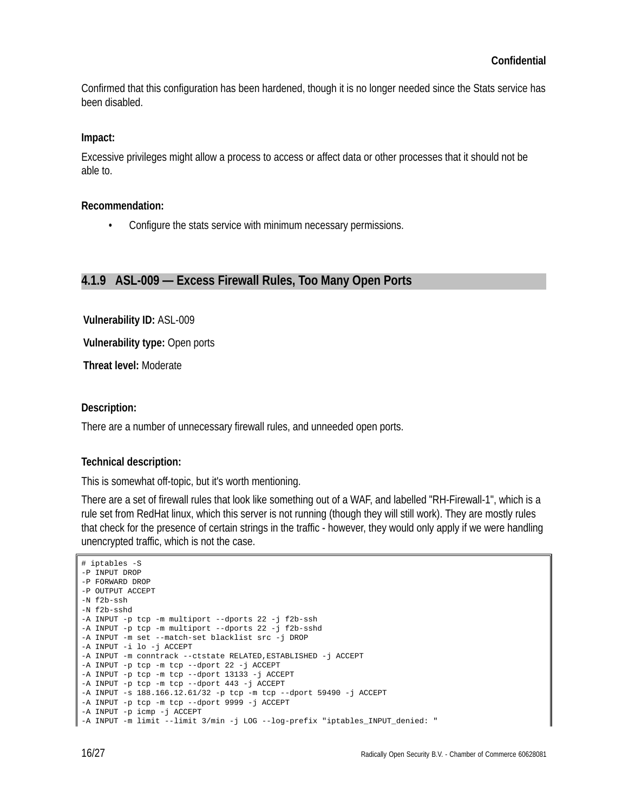Confirmed that this configuration has been hardened, though it is no longer needed since the Stats service has been disabled.

#### **Impact:**

Excessive privileges might allow a process to access or affect data or other processes that it should not be able to.

#### **Recommendation:**

• Configure the stats service with minimum necessary permissions.

## **4.1.9 ASL-009 — Excess Firewall Rules, Too Many Open Ports**

**Vulnerability ID:** ASL-009

**Vulnerability type:** Open ports

**Threat level:** Moderate

#### **Description:**

There are a number of unnecessary firewall rules, and unneeded open ports.

### **Technical description:**

This is somewhat off-topic, but it's worth mentioning.

There are a set of firewall rules that look like something out of a WAF, and labelled "RH-Firewall-1", which is a rule set from RedHat linux, which this server is not running (though they will still work). They are mostly rules that check for the presence of certain strings in the traffic - however, they would only apply if we were handling unencrypted traffic, which is not the case.

```
# iptables -S
-P INPUT DROP
-P FORWARD DROP
-P OUTPUT ACCEPT
-N f2b-ssh
-N f2b-sshd
-A INPUT -p tcp -m multiport --dports 22 -j f2b-ssh
-A INPUT -p tcp -m multiport --dports 22 -j f2b-sshd
-A INPUT -m set --match-set blacklist src -j DROP
-A INPUT -i lo -j ACCEPT
-A INPUT -m conntrack --ctstate RELATED,ESTABLISHED -j ACCEPT
-A INPUT -p tcp -m tcp --dport 22 -j ACCEPT
-A INPUT -p tcp -m tcp --dport 13133 -j ACCEPT
-A INPUT -p tcp -m tcp --dport 443 -j ACCEPT
-A INPUT -s 188.166.12.61/32 -p tcp -m tcp --dport 59490 -j ACCEPT
-A INPUT -p tcp -m tcp --dport 9999 -j ACCEPT
-A INPUT -p icmp -j ACCEPT
-A INPUT -m limit --limit 3/min -j LOG --log-prefix "iptables_INPUT_denied: "
```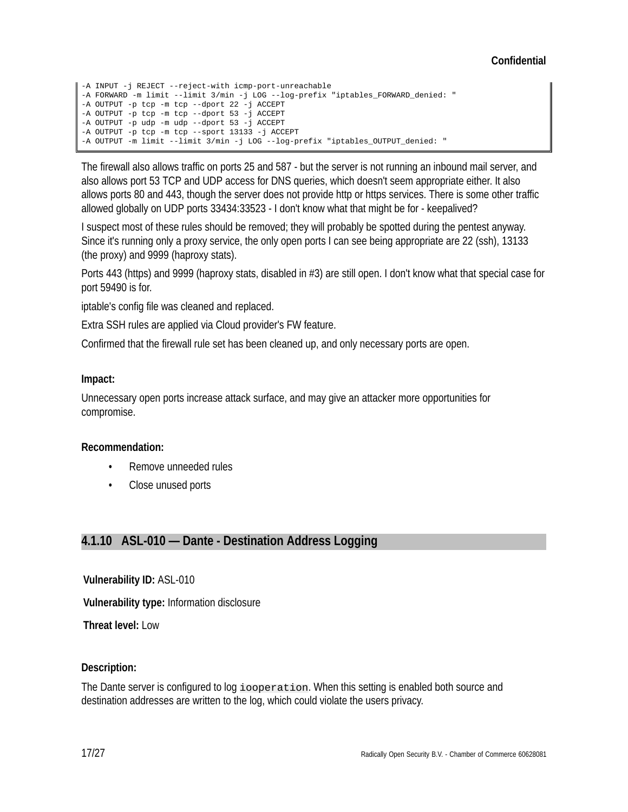## **Confidential**

```
-A INPUT -j REJECT --reject-with icmp-port-unreachable
-A FORWARD -m limit --limit 3/min -j LOG --log-prefix "iptables_FORWARD_denied: "
-A OUTPUT -p tcp -m tcp --dport 22 -j ACCEPT
-A OUTPUT -p tcp -m tcp --dport 53 -j ACCEPT
-A OUTPUT -p udp -m udp --dport 53 -j ACCEPT
-A OUTPUT -p tcp -m tcp --sport 13133 -j ACCEPT
-A OUTPUT -m limit --limit 3/min -j LOG --log-prefix "iptables_OUTPUT_denied: "
```
The firewall also allows traffic on ports 25 and 587 - but the server is not running an inbound mail server, and also allows port 53 TCP and UDP access for DNS queries, which doesn't seem appropriate either. It also allows ports 80 and 443, though the server does not provide http or https services. There is some other traffic allowed globally on UDP ports 33434:33523 - I don't know what that might be for - keepalived?

I suspect most of these rules should be removed; they will probably be spotted during the pentest anyway. Since it's running only a proxy service, the only open ports I can see being appropriate are 22 (ssh), 13133 (the proxy) and 9999 (haproxy stats).

Ports 443 (https) and 9999 (haproxy stats, disabled in #3) are still open. I don't know what that special case for port 59490 is for.

iptable's config file was cleaned and replaced.

Extra SSH rules are applied via Cloud provider's FW feature.

Confirmed that the firewall rule set has been cleaned up, and only necessary ports are open.

#### **Impact:**

Unnecessary open ports increase attack surface, and may give an attacker more opportunities for compromise.

#### **Recommendation:**

- Remove unneeded rules
- Close unused ports

## **4.1.10 ASL-010 — Dante - Destination Address Logging**

**Vulnerability ID:** ASL-010

**Vulnerability type:** Information disclosure

**Threat level:** Low

### **Description:**

The Dante server is configured to log iooperation. When this setting is enabled both source and destination addresses are written to the log, which could violate the users privacy.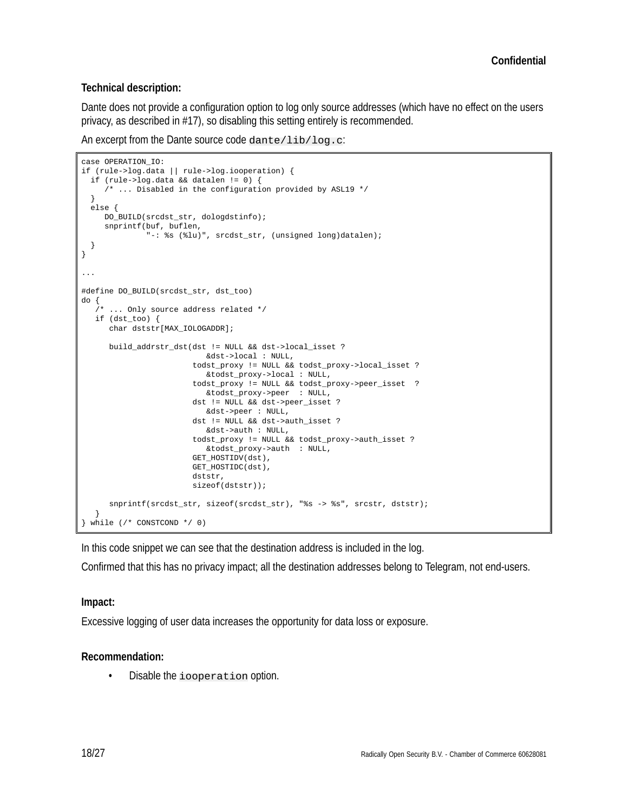### **Technical description:**

Dante does not provide a configuration option to log only source addresses (which have no effect on the users privacy, as described in #17), so disabling this setting entirely is recommended.

An excerpt from the Dante source code dante/lib/log.c:

```
case OPERATION_IO:
if (rule->log.data || rule->log.iooperation) {
   if (rule->log.data && datalen != 0) {
      /* ... Disabled in the configuration provided by ASL19 */
   }
   else {
      DO_BUILD(srcdst_str, dologdstinfo);
      snprintf(buf, buflen,
                "-: %s (%lu)", srcdst_str, (unsigned long)datalen);
  }
}
...
#define DO_BUILD(srcdst_str, dst_too)
do {<br> \lambda^*... Only source address related */
    if (dst_too) {
       char dststr[MAX_IOLOGADDR];
       build_addrstr_dst(dst != NULL && dst->local_isset ?
                             &dst->local : NULL,
                          todst_proxy != NULL && todst_proxy->local_isset ?
                             &todst_proxy->local : NULL,
                          todst_proxy != NULL && todst_proxy->peer_isset ?
                            &todst_proxy->peer : NULL,
                          dst != NULL && dst->peer_isset ?
                            &dst->peer : NULL,
                          dst != NULL && dst->auth_isset ?
                             &dst->auth : NULL,
                          todst_proxy != NULL && todst_proxy->auth_isset ?
                             &todst_proxy->auth : NULL,
                          GET_HOSTIDV(dst),
                          GET_HOSTIDC(dst),
                          dststr,
                          sizeof(dststr));
       snprintf(srcdst_str, sizeof(srcdst_str), "%s -> %s", srcstr, dststr);
    }
} while (/* CONSTCOND */ 0)
```
In this code snippet we can see that the destination address is included in the log.

Confirmed that this has no privacy impact; all the destination addresses belong to Telegram, not end-users.

### **Impact:**

Excessive logging of user data increases the opportunity for data loss or exposure.

### **Recommendation:**

• Disable the iooperation option.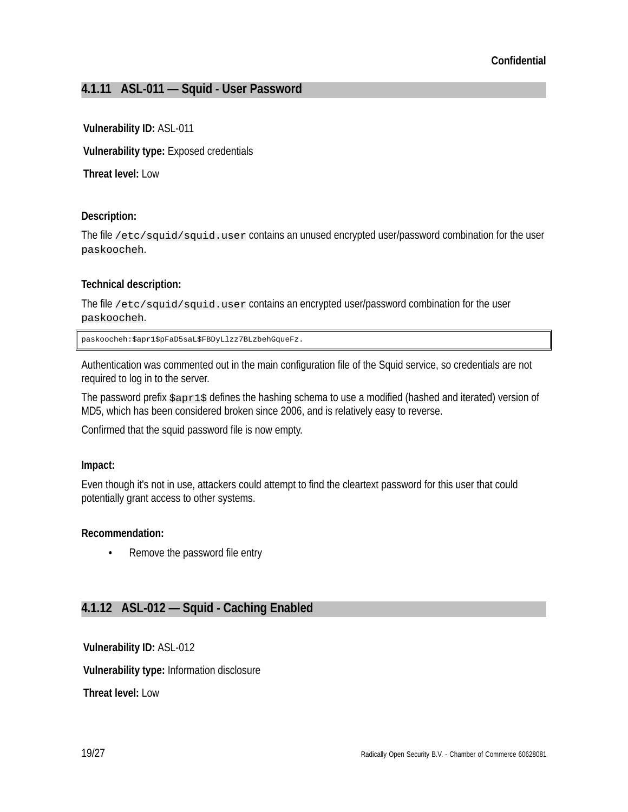## **4.1.11 ASL-011 — Squid - User Password**

## **Vulnerability ID:** ASL-011

**Vulnerability type:** Exposed credentials

**Threat level:** Low

## **Description:**

The file  $/etc/squid/squid.$ user contains an unused encrypted user/password combination for the user paskoocheh.

## **Technical description:**

The file /etc/squid/squid.user contains an encrypted user/password combination for the user paskoocheh.

paskoocheh:\$apr1\$pFaD5saL\$FBDyLlzz7BLzbehGqueFz.

Authentication was commented out in the main configuration file of the Squid service, so credentials are not required to log in to the server.

The password prefix \$apr1\$ defines the hashing schema to use a modified (hashed and iterated) version of MD5, which has been considered broken since 2006, and is relatively easy to reverse.

Confirmed that the squid password file is now empty.

### **Impact:**

Even though it's not in use, attackers could attempt to find the cleartext password for this user that could potentially grant access to other systems.

### **Recommendation:**

• Remove the password file entry

## **4.1.12 ASL-012 — Squid - Caching Enabled**

**Vulnerability ID:** ASL-012

**Vulnerability type:** Information disclosure

**Threat level:** Low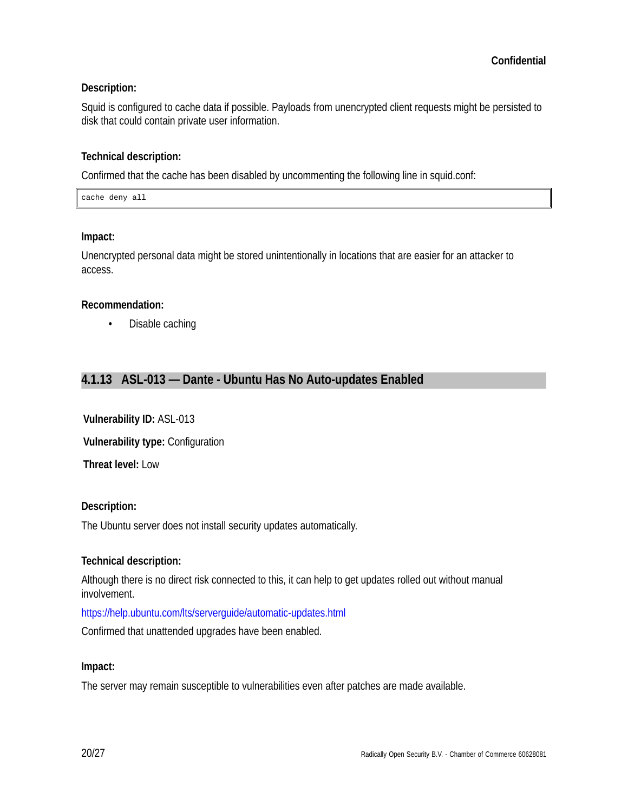## **Description:**

Squid is configured to cache data if possible. Payloads from unencrypted client requests might be persisted to disk that could contain private user information.

## **Technical description:**

Confirmed that the cache has been disabled by uncommenting the following line in squid.conf:

cache deny all

### **Impact:**

Unencrypted personal data might be stored unintentionally in locations that are easier for an attacker to access.

### **Recommendation:**

• Disable caching

## **4.1.13 ASL-013 — Dante - Ubuntu Has No Auto-updates Enabled**

**Vulnerability ID:** ASL-013

**Vulnerability type:** Configuration

**Threat level:** Low

### **Description:**

The Ubuntu server does not install security updates automatically.

### **Technical description:**

Although there is no direct risk connected to this, it can help to get updates rolled out without manual involvement.

https://help.ubuntu.com/lts/serverguide/automatic-updates.html

Confirmed that unattended upgrades have been enabled.

### **Impact:**

The server may remain susceptible to vulnerabilities even after patches are made available.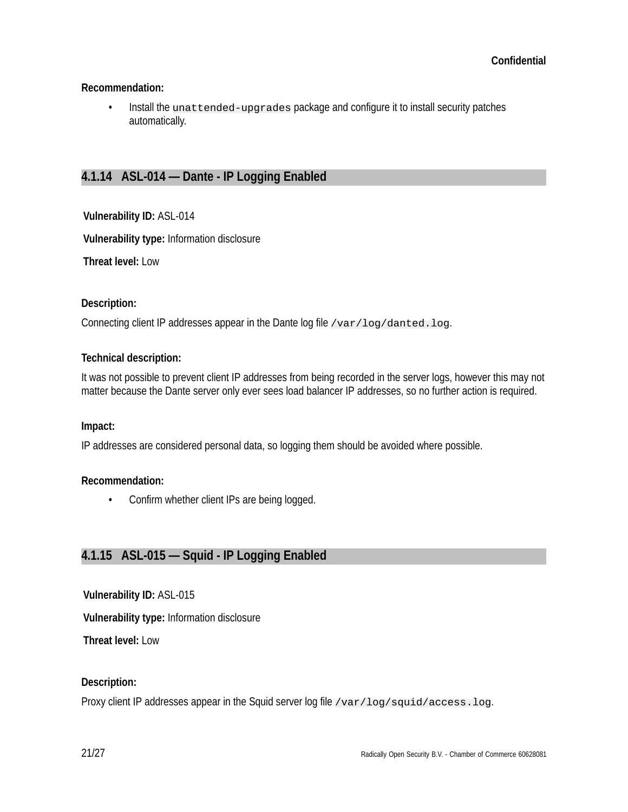## **Recommendation:**

• Install the unat tended-upgrades package and configure it to install security patches automatically.

## **4.1.14 ASL-014 — Dante - IP Logging Enabled**

**Vulnerability ID:** ASL-014

**Vulnerability type:** Information disclosure

**Threat level:** Low

### **Description:**

Connecting client IP addresses appear in the Dante log file /var/log/danted.log.

### **Technical description:**

It was not possible to prevent client IP addresses from being recorded in the server logs, however this may not matter because the Dante server only ever sees load balancer IP addresses, so no further action is required.

### **Impact:**

IP addresses are considered personal data, so logging them should be avoided where possible.

### **Recommendation:**

• Confirm whether client IPs are being logged.

## **4.1.15 ASL-015 — Squid - IP Logging Enabled**

**Vulnerability ID:** ASL-015

**Vulnerability type:** Information disclosure

**Threat level:** Low

### **Description:**

Proxy client IP addresses appear in the Squid server log file /var/log/squid/access.log.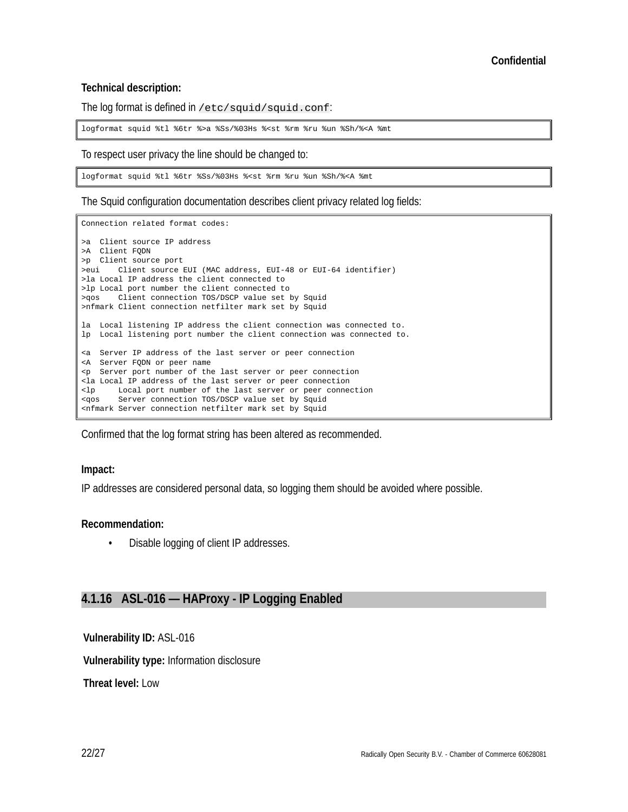#### **Technical description:**

The log format is defined in /etc/squid/squid.conf:

logformat squid %tl %6tr %>a %Ss/%03Hs %<st %rm %ru %un %Sh/%<A %mt

To respect user privacy the line should be changed to:

logformat squid %tl %6tr %Ss/%03Hs %<st %rm %ru %un %Sh/%<A %mt

The Squid configuration documentation describes client privacy related log fields:

Connection related format codes: >a Client source IP address >A Client FQDN >p Client source port >eui Client source EUI (MAC address, EUI-48 or EUI-64 identifier) >la Local IP address the client connected to >lp Local port number the client connected to >qos Client connection TOS/DSCP value set by Squid >nfmark Client connection netfilter mark set by Squid la Local listening IP address the client connection was connected to. lp Local listening port number the client connection was connected to. <a Server IP address of the last server or peer connection <A Server FQDN or peer name <p Server port number of the last server or peer connection <la Local IP address of the last server or peer connection <lp Local port number of the last server or peer connection <qos Server connection TOS/DSCP value set by Squid <nfmark Server connection netfilter mark set by Squid

Confirmed that the log format string has been altered as recommended.

#### **Impact:**

IP addresses are considered personal data, so logging them should be avoided where possible.

#### **Recommendation:**

• Disable logging of client IP addresses.

## **4.1.16 ASL-016 — HAProxy - IP Logging Enabled**

**Vulnerability ID:** ASL-016

**Vulnerability type:** Information disclosure

**Threat level:** Low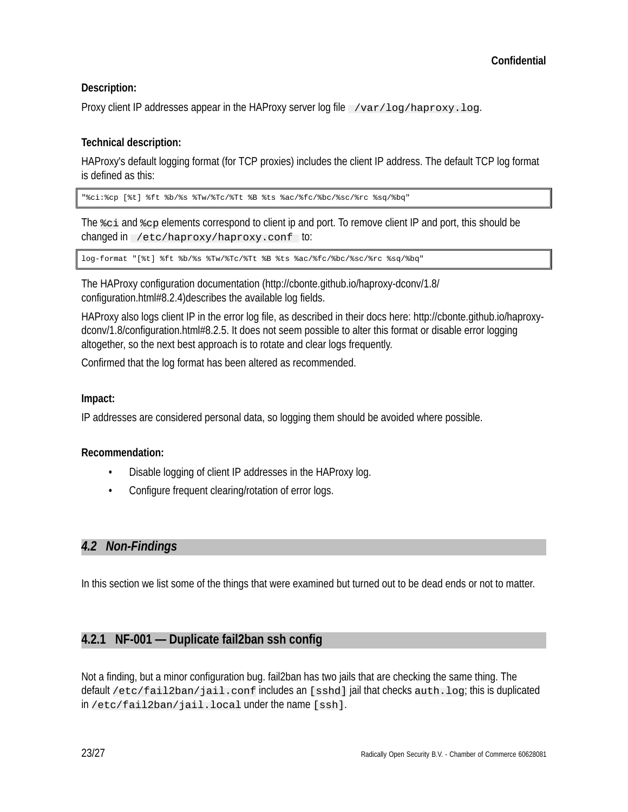## **Description:**

Proxy client IP addresses appear in the HAProxy server log file  $\sqrt{var/log/hapor}$ , log.

## **Technical description:**

HAProxy's default logging format (for TCP proxies) includes the client IP address. The default TCP log format is defined as this:

"%ci:%cp [%t] %ft %b/%s %Tw/%Tc/%Tt %B %ts %ac/%fc/%bc/%sc/%rc %sq/%bq"

The %ci and %cp elements correspond to client ip and port. To remove client IP and port, this should be changed in /etc/haproxy/haproxy.conf to:

log-format "[%t] %ft %b/%s %Tw/%Tc/%Tt %B %ts %ac/%fc/%bc/%sc/%rc %sq/%bq"

The HAProxy configuration documentation (http://cbonte.github.io/haproxy-dconv/1.8/ configuration.html#8.2.4)describes the available log fields.

HAProxy also logs client IP in the error log file, as described in their docs here: http://cbonte.github.io/haproxydconv/1.8/configuration.html#8.2.5. It does not seem possible to alter this format or disable error logging altogether, so the next best approach is to rotate and clear logs frequently.

Confirmed that the log format has been altered as recommended.

## **Impact:**

IP addresses are considered personal data, so logging them should be avoided where possible.

## **Recommendation:**

- Disable logging of client IP addresses in the HAProxy log.
- Configure frequent clearing/rotation of error logs.

## *4.2 Non-Findings*

In this section we list some of the things that were examined but turned out to be dead ends or not to matter.

## **4.2.1 NF-001 — Duplicate fail2ban ssh config**

Not a finding, but a minor configuration bug. fail2ban has two jails that are checking the same thing. The default /etc/fail2ban/jail.conf includes an [sshd] jail that checks auth.log; this is duplicated in /etc/fail2ban/jail.local under the name [ssh].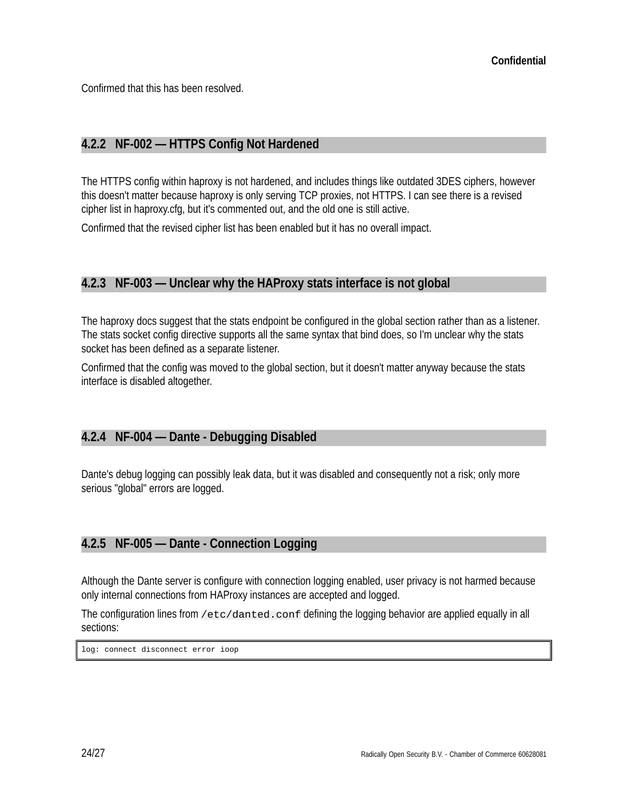Confirmed that this has been resolved.

## **4.2.2 NF-002 — HTTPS Config Not Hardened**

The HTTPS config within haproxy is not hardened, and includes things like outdated 3DES ciphers, however this doesn't matter because haproxy is only serving TCP proxies, not HTTPS. I can see there is a revised cipher list in haproxy.cfg, but it's commented out, and the old one is still active.

Confirmed that the revised cipher list has been enabled but it has no overall impact.

## **4.2.3 NF-003 — Unclear why the HAProxy stats interface is not global**

The haproxy docs suggest that the stats endpoint be configured in the global section rather than as a listener. The stats socket config directive supports all the same syntax that bind does, so I'm unclear why the stats socket has been defined as a separate listener.

Confirmed that the config was moved to the global section, but it doesn't matter anyway because the stats interface is disabled altogether.

## **4.2.4 NF-004 — Dante - Debugging Disabled**

Dante's debug logging can possibly leak data, but it was disabled and consequently not a risk; only more serious "global" errors are logged.

## **4.2.5 NF-005 — Dante - Connection Logging**

Although the Dante server is configure with connection logging enabled, user privacy is not harmed because only internal connections from HAProxy instances are accepted and logged.

The configuration lines from /etc/danted.conf defining the logging behavior are applied equally in all sections:

log: connect disconnect error ioop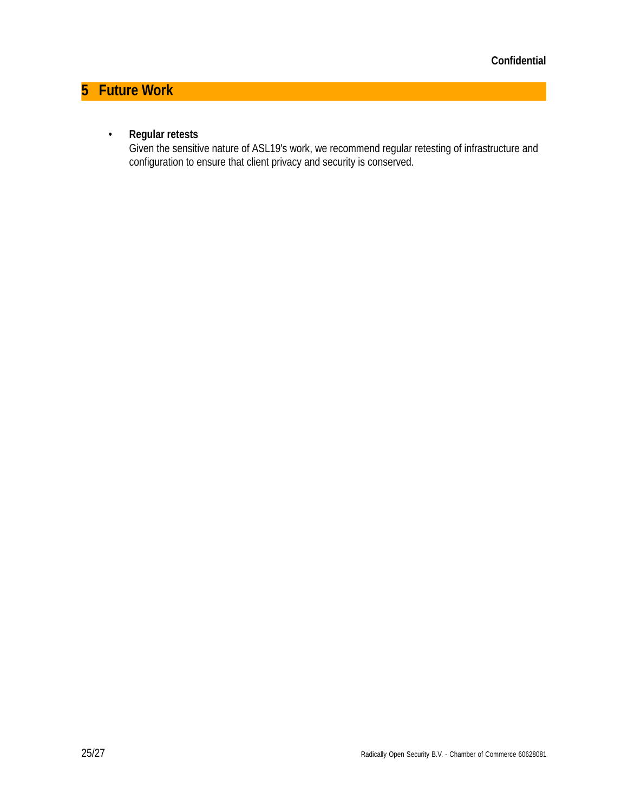# **5 Future Work**

## • **Regular retests**

Given the sensitive nature of ASL19's work, we recommend regular retesting of infrastructure and configuration to ensure that client privacy and security is conserved.